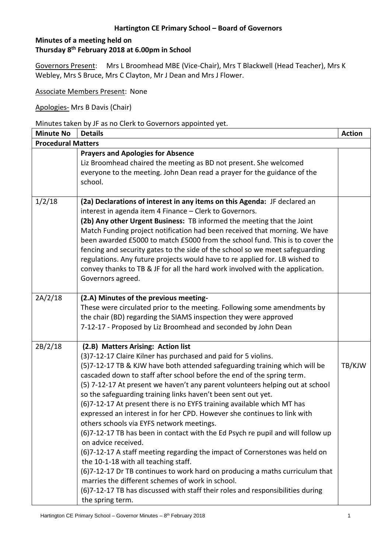# **Minutes of a meeting held on Thursday 8 th February 2018 at 6.00pm in School**

Governors Present: Mrs L Broomhead MBE (Vice-Chair), Mrs T Blackwell (Head Teacher), Mrs K Webley, Mrs S Bruce, Mrs C Clayton, Mr J Dean and Mrs J Flower.

Associate Members Present: None

Apologies- Mrs B Davis (Chair)

Minutes taken by JF as no Clerk to Governors appointed yet.

| <b>Minute No</b>          | <b>Details</b>                                                                                                                                                                                                                                                                                                                                                                                                                                                                                                                                                                                                                                                                                                                                                                                                                                                                                                                                                                                                                                                                               | <b>Action</b> |
|---------------------------|----------------------------------------------------------------------------------------------------------------------------------------------------------------------------------------------------------------------------------------------------------------------------------------------------------------------------------------------------------------------------------------------------------------------------------------------------------------------------------------------------------------------------------------------------------------------------------------------------------------------------------------------------------------------------------------------------------------------------------------------------------------------------------------------------------------------------------------------------------------------------------------------------------------------------------------------------------------------------------------------------------------------------------------------------------------------------------------------|---------------|
| <b>Procedural Matters</b> |                                                                                                                                                                                                                                                                                                                                                                                                                                                                                                                                                                                                                                                                                                                                                                                                                                                                                                                                                                                                                                                                                              |               |
|                           | <b>Prayers and Apologies for Absence</b><br>Liz Broomhead chaired the meeting as BD not present. She welcomed<br>everyone to the meeting. John Dean read a prayer for the guidance of the<br>school.                                                                                                                                                                                                                                                                                                                                                                                                                                                                                                                                                                                                                                                                                                                                                                                                                                                                                         |               |
| 1/2/18                    | (2a) Declarations of interest in any items on this Agenda: JF declared an<br>interest in agenda item 4 Finance - Clerk to Governors.<br>(2b) Any other Urgent Business: TB informed the meeting that the Joint<br>Match Funding project notification had been received that morning. We have<br>been awarded £5000 to match £5000 from the school fund. This is to cover the<br>fencing and security gates to the side of the school so we meet safeguarding<br>regulations. Any future projects would have to re applied for. LB wished to<br>convey thanks to TB & JF for all the hard work involved with the application.<br>Governors agreed.                                                                                                                                                                                                                                                                                                                                                                                                                                            |               |
| 2A/2/18                   | (2.A) Minutes of the previous meeting-<br>These were circulated prior to the meeting. Following some amendments by<br>the chair (BD) regarding the SIAMS inspection they were approved<br>7-12-17 - Proposed by Liz Broomhead and seconded by John Dean                                                                                                                                                                                                                                                                                                                                                                                                                                                                                                                                                                                                                                                                                                                                                                                                                                      |               |
| 2B/2/18                   | (2.B) Matters Arising: Action list<br>(3)7-12-17 Claire Kilner has purchased and paid for 5 violins.<br>(5)7-12-17 TB & KJW have both attended safeguarding training which will be<br>cascaded down to staff after school before the end of the spring term.<br>(5) 7-12-17 At present we haven't any parent volunteers helping out at school<br>so the safeguarding training links haven't been sent out yet.<br>(6)7-12-17 At present there is no EYFS training available which MT has<br>expressed an interest in for her CPD. However she continues to link with<br>others schools via EYFS network meetings.<br>(6)7-12-17 TB has been in contact with the Ed Psych re pupil and will follow up<br>on advice received.<br>(6)7-12-17 A staff meeting regarding the impact of Cornerstones was held on<br>the 10-1-18 with all teaching staff.<br>(6)7-12-17 Dr TB continues to work hard on producing a maths curriculum that<br>marries the different schemes of work in school.<br>(6)7-12-17 TB has discussed with staff their roles and responsibilities during<br>the spring term. | TB/KJW        |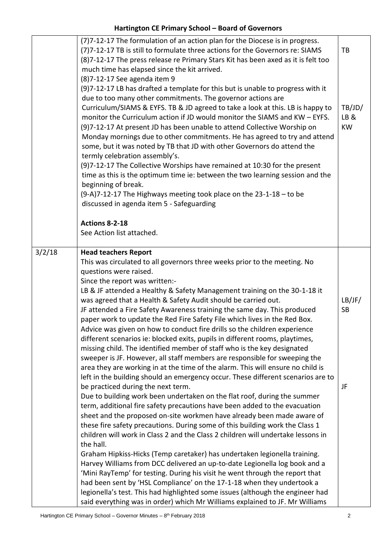|        | (7)7-12-17 The formulation of an action plan for the Diocese is in progress.<br>(7)7-12-17 TB is still to formulate three actions for the Governors re: SIAMS<br>(8)7-12-17 The press release re Primary Stars Kit has been axed as it is felt too<br>much time has elapsed since the kit arrived.<br>(8) 7-12-17 See agenda item 9<br>(9)7-12-17 LB has drafted a template for this but is unable to progress with it<br>due to too many other commitments. The governor actions are<br>Curriculum/SIAMS & EYFS. TB & JD agreed to take a look at this. LB is happy to<br>monitor the Curriculum action if JD would monitor the SIAMS and KW - EYFS.<br>(9)7-12-17 At present JD has been unable to attend Collective Worship on<br>Monday mornings due to other commitments. He has agreed to try and attend<br>some, but it was noted by TB that JD with other Governors do attend the<br>termly celebration assembly's.<br>(9)7-12-17 The Collective Worships have remained at 10:30 for the present<br>time as this is the optimum time ie: between the two learning session and the<br>beginning of break.<br>(9-A)7-12-17 The Highways meeting took place on the 23-1-18 - to be<br>discussed in agenda item 5 - Safeguarding                                                                                                                                                                                                                                                                                                                                                                                                                                                                                                                                                                                                                                                                                        | TB<br>TB/JD/<br>LB&<br><b>KW</b> |
|--------|-----------------------------------------------------------------------------------------------------------------------------------------------------------------------------------------------------------------------------------------------------------------------------------------------------------------------------------------------------------------------------------------------------------------------------------------------------------------------------------------------------------------------------------------------------------------------------------------------------------------------------------------------------------------------------------------------------------------------------------------------------------------------------------------------------------------------------------------------------------------------------------------------------------------------------------------------------------------------------------------------------------------------------------------------------------------------------------------------------------------------------------------------------------------------------------------------------------------------------------------------------------------------------------------------------------------------------------------------------------------------------------------------------------------------------------------------------------------------------------------------------------------------------------------------------------------------------------------------------------------------------------------------------------------------------------------------------------------------------------------------------------------------------------------------------------------------------------------------------------------------------------------------------------------------------|----------------------------------|
|        | Actions 8-2-18<br>See Action list attached.                                                                                                                                                                                                                                                                                                                                                                                                                                                                                                                                                                                                                                                                                                                                                                                                                                                                                                                                                                                                                                                                                                                                                                                                                                                                                                                                                                                                                                                                                                                                                                                                                                                                                                                                                                                                                                                                                 |                                  |
| 3/2/18 | <b>Head teachers Report</b><br>This was circulated to all governors three weeks prior to the meeting. No<br>questions were raised.<br>Since the report was written:-<br>LB & JF attended a Healthy & Safety Management training on the 30-1-18 it<br>was agreed that a Health & Safety Audit should be carried out.<br>JF attended a Fire Safety Awareness training the same day. This produced<br>paper work to update the Red Fire Safety File which lives in the Red Box.<br>Advice was given on how to conduct fire drills so the children experience<br>different scenarios ie: blocked exits, pupils in different rooms, playtimes,<br>missing child. The identified member of staff who is the key designated<br>sweeper is JF. However, all staff members are responsible for sweeping the<br>area they are working in at the time of the alarm. This will ensure no child is<br>left in the building should an emergency occur. These different scenarios are to<br>be practiced during the next term.<br>Due to building work been undertaken on the flat roof, during the summer<br>term, additional fire safety precautions have been added to the evacuation<br>sheet and the proposed on-site workmen have already been made aware of<br>these fire safety precautions. During some of this building work the Class 1<br>children will work in Class 2 and the Class 2 children will undertake lessons in<br>the hall.<br>Graham Hipkiss-Hicks (Temp caretaker) has undertaken legionella training.<br>Harvey Williams from DCC delivered an up-to-date Legionella log book and a<br>'Mini RayTemp' for testing. During his visit he went through the report that<br>had been sent by 'HSL Compliance' on the 17-1-18 when they undertook a<br>legionella's test. This had highlighted some issues (although the engineer had<br>said everything was in order) which Mr Williams explained to JF. Mr Williams | LB/JF/<br><b>SB</b><br>JF        |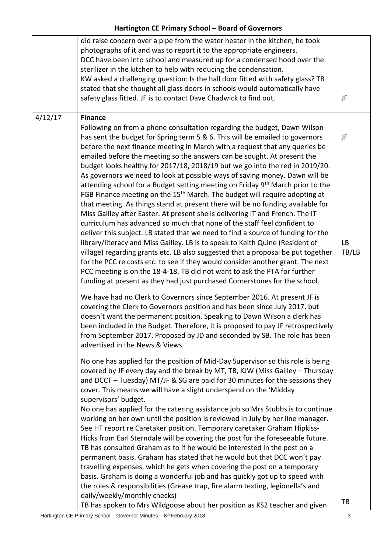|         | did raise concern over a pipe from the water heater in the kitchen, he took<br>photographs of it and was to report it to the appropriate engineers.<br>DCC have been into school and measured up for a condensed hood over the<br>sterilizer in the kitchen to help with reducing the condensation.<br>KW asked a challenging question: Is the hall door fitted with safety glass? TB<br>stated that she thought all glass doors in schools would automatically have<br>safety glass fitted. JF is to contact Dave Chadwick to find out.                                                                                                                                                                                                                                                                                                                                                                                                                                                                                                                                                                                                                                                                                                                                                                                                                                                                                                                                                                                                                                                                                                                                                                                                                                                                                                                                                                                                                                                                                                                                                                                                         | JF                       |
|---------|--------------------------------------------------------------------------------------------------------------------------------------------------------------------------------------------------------------------------------------------------------------------------------------------------------------------------------------------------------------------------------------------------------------------------------------------------------------------------------------------------------------------------------------------------------------------------------------------------------------------------------------------------------------------------------------------------------------------------------------------------------------------------------------------------------------------------------------------------------------------------------------------------------------------------------------------------------------------------------------------------------------------------------------------------------------------------------------------------------------------------------------------------------------------------------------------------------------------------------------------------------------------------------------------------------------------------------------------------------------------------------------------------------------------------------------------------------------------------------------------------------------------------------------------------------------------------------------------------------------------------------------------------------------------------------------------------------------------------------------------------------------------------------------------------------------------------------------------------------------------------------------------------------------------------------------------------------------------------------------------------------------------------------------------------------------------------------------------------------------------------------------------------|--------------------------|
| 4/12/17 | <b>Finance</b><br>Following on from a phone consultation regarding the budget, Dawn Wilson<br>has sent the budget for Spring term 5 & 6. This will be emailed to governors<br>before the next finance meeting in March with a request that any queries be<br>emailed before the meeting so the answers can be sought. At present the<br>budget looks healthy for 2017/18, 2018/19 but we go into the red in 2019/20.<br>As governors we need to look at possible ways of saving money. Dawn will be<br>attending school for a Budget setting meeting on Friday 9 <sup>th</sup> March prior to the<br>FGB Finance meeting on the 15 <sup>th</sup> March. The budget will require adopting at<br>that meeting. As things stand at present there will be no funding available for<br>Miss Gailley after Easter. At present she is delivering IT and French. The IT<br>curriculum has advanced so much that none of the staff feel confident to<br>deliver this subject. LB stated that we need to find a source of funding for the<br>library/literacy and Miss Gailley. LB is to speak to Keith Quine (Resident of<br>village) regarding grants etc. LB also suggested that a proposal be put together<br>for the PCC re costs etc. to see if they would consider another grant. The next<br>PCC meeting is on the 18-4-18. TB did not want to ask the PTA for further<br>funding at present as they had just purchased Cornerstones for the school.<br>We have had no Clerk to Governors since September 2016. At present JF is<br>covering the Clerk to Governors position and has been since July 2017, but<br>doesn't want the permanent position. Speaking to Dawn Wilson a clerk has<br>been included in the Budget. Therefore, it is proposed to pay JF retrospectively<br>from September 2017. Proposed by JD and seconded by SB. The role has been<br>advertised in the News & Views.<br>No one has applied for the position of Mid-Day Supervisor so this role is being<br>covered by JF every day and the break by MT, TB, KJW (Miss Gailley - Thursday<br>and DCCT - Tuesday) MT/JF & SG are paid for 30 minutes for the sessions they | JF<br><b>LB</b><br>TB/LB |
|         | cover. This means we will have a slight underspend on the 'Midday<br>supervisors' budget.<br>No one has applied for the catering assistance job so Mrs Stubbs is to continue<br>working on her own until the position is reviewed in July by her line manager.<br>See HT report re Caretaker position. Temporary caretaker Graham Hipkiss-<br>Hicks from Earl Sterndale will be covering the post for the foreseeable future.<br>TB has consulted Graham as to if he would be interested in the post on a<br>permanent basis. Graham has stated that he would but that DCC won't pay<br>travelling expenses, which he gets when covering the post on a temporary<br>basis. Graham is doing a wonderful job and has quickly got up to speed with<br>the roles & responsibilities (Grease trap, fire alarm texting, legionella's and<br>daily/weekly/monthly checks)                                                                                                                                                                                                                                                                                                                                                                                                                                                                                                                                                                                                                                                                                                                                                                                                                                                                                                                                                                                                                                                                                                                                                                                                                                                                               |                          |
|         | TB has spoken to Mrs Wildgoose about her position as KS2 teacher and given                                                                                                                                                                                                                                                                                                                                                                                                                                                                                                                                                                                                                                                                                                                                                                                                                                                                                                                                                                                                                                                                                                                                                                                                                                                                                                                                                                                                                                                                                                                                                                                                                                                                                                                                                                                                                                                                                                                                                                                                                                                                       | TB                       |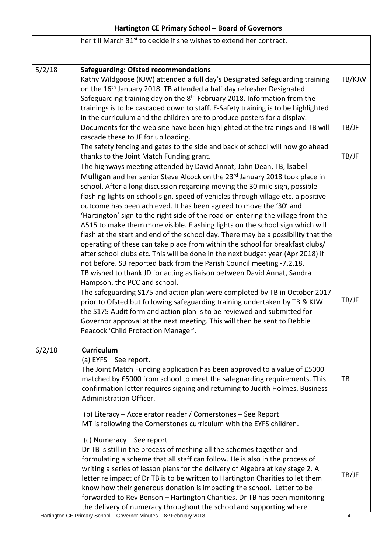|        | her till March 31 <sup>st</sup> to decide if she wishes to extend her contract.                                                                                                                                                                                                                                                                                                                                                                                                                                                                                                                                                                                                                                                                                                                                                                                                                                                                                                                                                                                                                                                                                                                                                                                                                                                                                                                                                                                                                      |                |
|--------|------------------------------------------------------------------------------------------------------------------------------------------------------------------------------------------------------------------------------------------------------------------------------------------------------------------------------------------------------------------------------------------------------------------------------------------------------------------------------------------------------------------------------------------------------------------------------------------------------------------------------------------------------------------------------------------------------------------------------------------------------------------------------------------------------------------------------------------------------------------------------------------------------------------------------------------------------------------------------------------------------------------------------------------------------------------------------------------------------------------------------------------------------------------------------------------------------------------------------------------------------------------------------------------------------------------------------------------------------------------------------------------------------------------------------------------------------------------------------------------------------|----------------|
|        |                                                                                                                                                                                                                                                                                                                                                                                                                                                                                                                                                                                                                                                                                                                                                                                                                                                                                                                                                                                                                                                                                                                                                                                                                                                                                                                                                                                                                                                                                                      |                |
| 5/2/18 | <b>Safeguarding: Ofsted recommendations</b><br>Kathy Wildgoose (KJW) attended a full day's Designated Safeguarding training<br>on the 16 <sup>th</sup> January 2018. TB attended a half day refresher Designated<br>Safeguarding training day on the 8 <sup>th</sup> February 2018. Information from the<br>trainings is to be cascaded down to staff. E-Safety training is to be highlighted<br>in the curriculum and the children are to produce posters for a display.                                                                                                                                                                                                                                                                                                                                                                                                                                                                                                                                                                                                                                                                                                                                                                                                                                                                                                                                                                                                                            | TB/KJW         |
|        | Documents for the web site have been highlighted at the trainings and TB will<br>cascade these to JF for up loading.                                                                                                                                                                                                                                                                                                                                                                                                                                                                                                                                                                                                                                                                                                                                                                                                                                                                                                                                                                                                                                                                                                                                                                                                                                                                                                                                                                                 | TB/JF          |
|        | The safety fencing and gates to the side and back of school will now go ahead<br>thanks to the Joint Match Funding grant.<br>The highways meeting attended by David Annat, John Dean, TB, Isabel<br>Mulligan and her senior Steve Alcock on the 23rd January 2018 took place in<br>school. After a long discussion regarding moving the 30 mile sign, possible<br>flashing lights on school sign, speed of vehicles through village etc. a positive<br>outcome has been achieved. It has been agreed to move the '30' and<br>'Hartington' sign to the right side of the road on entering the village from the<br>A515 to make them more visible. Flashing lights on the school sign which will<br>flash at the start and end of the school day. There may be a possibility that the<br>operating of these can take place from within the school for breakfast clubs/<br>after school clubs etc. This will be done in the next budget year (Apr 2018) if<br>not before. SB reported back from the Parish Council meeting -7.2.18.<br>TB wished to thank JD for acting as liaison between David Annat, Sandra<br>Hampson, the PCC and school.<br>The safeguarding S175 and action plan were completed by TB in October 2017<br>prior to Ofsted but following safeguarding training undertaken by TB & KJW<br>the S175 Audit form and action plan is to be reviewed and submitted for<br>Governor approval at the next meeting. This will then be sent to Debbie<br>Peacock 'Child Protection Manager'. | TB/JF<br>TB/JF |
| 6/2/18 | <b>Curriculum</b>                                                                                                                                                                                                                                                                                                                                                                                                                                                                                                                                                                                                                                                                                                                                                                                                                                                                                                                                                                                                                                                                                                                                                                                                                                                                                                                                                                                                                                                                                    |                |
|        | (a) EYFS - See report.<br>The Joint Match Funding application has been approved to a value of £5000<br>matched by £5000 from school to meet the safeguarding requirements. This<br>confirmation letter requires signing and returning to Judith Holmes, Business<br>Administration Officer.                                                                                                                                                                                                                                                                                                                                                                                                                                                                                                                                                                                                                                                                                                                                                                                                                                                                                                                                                                                                                                                                                                                                                                                                          | TB             |
|        | (b) Literacy - Accelerator reader / Cornerstones - See Report<br>MT is following the Cornerstones curriculum with the EYFS children.                                                                                                                                                                                                                                                                                                                                                                                                                                                                                                                                                                                                                                                                                                                                                                                                                                                                                                                                                                                                                                                                                                                                                                                                                                                                                                                                                                 |                |
|        | (c) Numeracy – See report<br>Dr TB is still in the process of meshing all the schemes together and<br>formulating a scheme that all staff can follow. He is also in the process of<br>writing a series of lesson plans for the delivery of Algebra at key stage 2. A<br>letter re impact of Dr TB is to be written to Hartington Charities to let them<br>know how their generous donation is impacting the school. Letter to be<br>forwarded to Rev Benson - Hartington Charities. Dr TB has been monitoring<br>the delivery of numeracy throughout the school and supporting where                                                                                                                                                                                                                                                                                                                                                                                                                                                                                                                                                                                                                                                                                                                                                                                                                                                                                                                 | TB/JF          |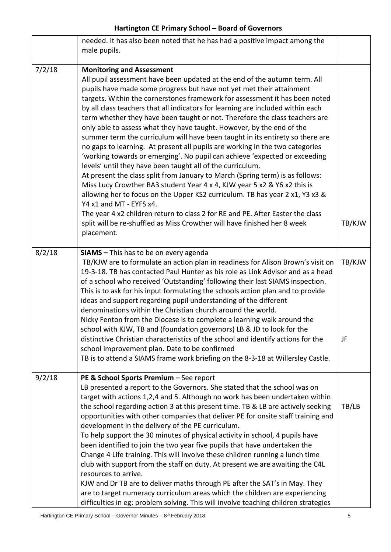|        | needed. It has also been noted that he has had a positive impact among the<br>male pupils.                                                                                                                                                                                                                                                                                                                                                                                                                                                                                                                                                                                                                                                                                                                                                                                                                                                                                                                                                                                                                                                                                                                                                                                       |              |
|--------|----------------------------------------------------------------------------------------------------------------------------------------------------------------------------------------------------------------------------------------------------------------------------------------------------------------------------------------------------------------------------------------------------------------------------------------------------------------------------------------------------------------------------------------------------------------------------------------------------------------------------------------------------------------------------------------------------------------------------------------------------------------------------------------------------------------------------------------------------------------------------------------------------------------------------------------------------------------------------------------------------------------------------------------------------------------------------------------------------------------------------------------------------------------------------------------------------------------------------------------------------------------------------------|--------------|
| 7/2/18 | <b>Monitoring and Assessment</b><br>All pupil assessment have been updated at the end of the autumn term. All<br>pupils have made some progress but have not yet met their attainment<br>targets. Within the cornerstones framework for assessment it has been noted<br>by all class teachers that all indicators for learning are included within each<br>term whether they have been taught or not. Therefore the class teachers are<br>only able to assess what they have taught. However, by the end of the<br>summer term the curriculum will have been taught in its entirety so there are<br>no gaps to learning. At present all pupils are working in the two categories<br>'working towards or emerging'. No pupil can achieve 'expected or exceeding<br>levels' until they have been taught all of the curriculum.<br>At present the class split from January to March (Spring term) is as follows:<br>Miss Lucy Crowther BA3 student Year 4 x 4, KJW year 5 x2 & Y6 x2 this is<br>allowing her to focus on the Upper KS2 curriculum. TB has year 2 x1, Y3 x3 &<br>Y4 x1 and MT - EYFS x4.<br>The year 4 x2 children return to class 2 for RE and PE. After Easter the class<br>split will be re-shuffled as Miss Crowther will have finished her 8 week<br>placement. | TB/KJW       |
| 8/2/18 | <b>SIAMS</b> - This has to be on every agenda<br>TB/KJW are to formulate an action plan in readiness for Alison Brown's visit on<br>19-3-18. TB has contacted Paul Hunter as his role as Link Advisor and as a head<br>of a school who received 'Outstanding' following their last SIAMS inspection.<br>This is to ask for his input formulating the schools action plan and to provide<br>ideas and support regarding pupil understanding of the different<br>denominations within the Christian church around the world.<br>Nicky Fenton from the Diocese is to complete a learning walk around the<br>school with KJW, TB and (foundation governors) LB & JD to look for the<br>distinctive Christian characteristics of the school and identify actions for the<br>school improvement plan. Date to be confirmed<br>TB is to attend a SIAMS frame work briefing on the 8-3-18 at Willersley Castle.                                                                                                                                                                                                                                                                                                                                                                          | TB/KJW<br>JF |
| 9/2/18 | PE & School Sports Premium - See report<br>LB presented a report to the Governors. She stated that the school was on<br>target with actions 1,2,4 and 5. Although no work has been undertaken within<br>the school regarding action 3 at this present time. TB & LB are actively seeking<br>opportunities with other companies that deliver PE for onsite staff training and<br>development in the delivery of the PE curriculum.<br>To help support the 30 minutes of physical activity in school, 4 pupils have<br>been identified to join the two year five pupils that have undertaken the<br>Change 4 Life training. This will involve these children running a lunch time<br>club with support from the staff on duty. At present we are awaiting the C4L<br>resources to arrive.<br>KJW and Dr TB are to deliver maths through PE after the SAT's in May. They<br>are to target numeracy curriculum areas which the children are experiencing<br>difficulties in eg: problem solving. This will involve teaching children strategies                                                                                                                                                                                                                                      | TB/LB        |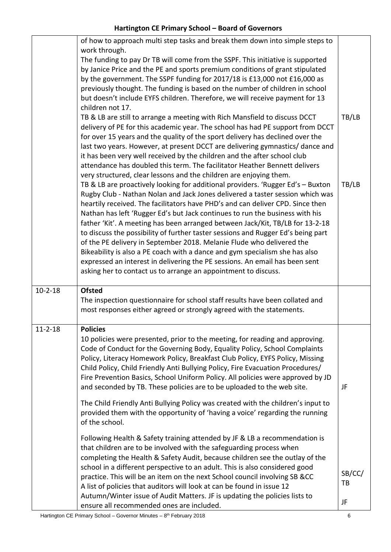|               | of how to approach multi step tasks and break them down into simple steps to<br>work through.<br>The funding to pay Dr TB will come from the SSPF. This initiative is supported<br>by Janice Price and the PE and sports premium conditions of grant stipulated<br>by the government. The SSPF funding for 2017/18 is £13,000 not £16,000 as<br>previously thought. The funding is based on the number of children in school<br>but doesn't include EYFS children. Therefore, we will receive payment for 13<br>children not 17.<br>TB & LB are still to arrange a meeting with Rich Mansfield to discuss DCCT<br>delivery of PE for this academic year. The school has had PE support from DCCT<br>for over 15 years and the quality of the sport delivery has declined over the<br>last two years. However, at present DCCT are delivering gymnastics/ dance and<br>it has been very well received by the children and the after school club<br>attendance has doubled this term. The facilitator Heather Bennett delivers<br>very structured, clear lessons and the children are enjoying them.<br>TB & LB are proactively looking for additional providers. 'Rugger Ed's - Buxton<br>Rugby Club - Nathan Nolan and Jack Jones delivered a taster session which was<br>heartily received. The facilitators have PHD's and can deliver CPD. Since then<br>Nathan has left 'Rugger Ed's but Jack continues to run the business with his<br>father 'Kit'. A meeting has been arranged between Jack/Kit, TB/LB for 13-2-18<br>to discuss the possibility of further taster sessions and Rugger Ed's being part<br>of the PE delivery in September 2018. Melanie Flude who delivered the<br>Bikeability is also a PE coach with a dance and gym specialism she has also<br>expressed an interest in delivering the PE sessions. An email has been sent<br>asking her to contact us to arrange an appointment to discuss. | TB/LB<br>TB/LB      |
|---------------|------------------------------------------------------------------------------------------------------------------------------------------------------------------------------------------------------------------------------------------------------------------------------------------------------------------------------------------------------------------------------------------------------------------------------------------------------------------------------------------------------------------------------------------------------------------------------------------------------------------------------------------------------------------------------------------------------------------------------------------------------------------------------------------------------------------------------------------------------------------------------------------------------------------------------------------------------------------------------------------------------------------------------------------------------------------------------------------------------------------------------------------------------------------------------------------------------------------------------------------------------------------------------------------------------------------------------------------------------------------------------------------------------------------------------------------------------------------------------------------------------------------------------------------------------------------------------------------------------------------------------------------------------------------------------------------------------------------------------------------------------------------------------------------------------------------------------------------------------------------------------------------------------------------------|---------------------|
| $10 - 2 - 18$ | <b>Ofsted</b>                                                                                                                                                                                                                                                                                                                                                                                                                                                                                                                                                                                                                                                                                                                                                                                                                                                                                                                                                                                                                                                                                                                                                                                                                                                                                                                                                                                                                                                                                                                                                                                                                                                                                                                                                                                                                                                                                                          |                     |
|               | The inspection questionnaire for school staff results have been collated and<br>most responses either agreed or strongly agreed with the statements.                                                                                                                                                                                                                                                                                                                                                                                                                                                                                                                                                                                                                                                                                                                                                                                                                                                                                                                                                                                                                                                                                                                                                                                                                                                                                                                                                                                                                                                                                                                                                                                                                                                                                                                                                                   |                     |
| $11 - 2 - 18$ | <b>Policies</b><br>10 policies were presented, prior to the meeting, for reading and approving.<br>Code of Conduct for the Governing Body, Equality Policy, School Complaints<br>Policy, Literacy Homework Policy, Breakfast Club Policy, EYFS Policy, Missing<br>Child Policy, Child Friendly Anti Bullying Policy, Fire Evacuation Procedures/<br>Fire Prevention Basics, School Uniform Policy. All policies were approved by JD<br>and seconded by TB. These policies are to be uploaded to the web site.<br>The Child Friendly Anti Bullying Policy was created with the children's input to<br>provided them with the opportunity of 'having a voice' regarding the running                                                                                                                                                                                                                                                                                                                                                                                                                                                                                                                                                                                                                                                                                                                                                                                                                                                                                                                                                                                                                                                                                                                                                                                                                                      | JF                  |
|               | of the school.<br>Following Health & Safety training attended by JF & LB a recommendation is<br>that children are to be involved with the safeguarding process when<br>completing the Health & Safety Audit, because children see the outlay of the<br>school in a different perspective to an adult. This is also considered good<br>practice. This will be an item on the next School council involving SB &CC<br>A list of policies that auditors will look at can be found in issue 12<br>Autumn/Winter issue of Audit Matters. JF is updating the policies lists to<br>ensure all recommended ones are included.                                                                                                                                                                                                                                                                                                                                                                                                                                                                                                                                                                                                                                                                                                                                                                                                                                                                                                                                                                                                                                                                                                                                                                                                                                                                                                  | SB/CC/<br>TB<br>JF. |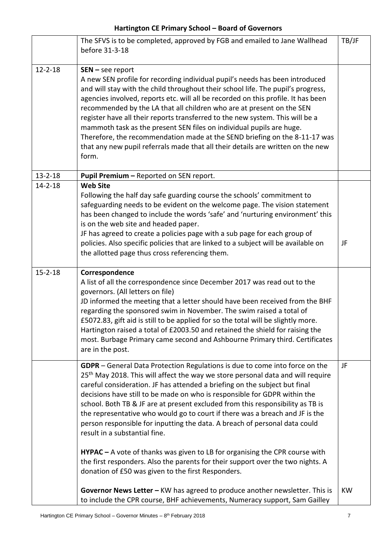|               | The SFVS is to be completed, approved by FGB and emailed to Jane Wallhead<br>before 31-3-18                                                                                                                                                                                                                                                                                                                                                                                                                                                                                                                                                                                                                                                                                                                                                      | TB/JF     |
|---------------|--------------------------------------------------------------------------------------------------------------------------------------------------------------------------------------------------------------------------------------------------------------------------------------------------------------------------------------------------------------------------------------------------------------------------------------------------------------------------------------------------------------------------------------------------------------------------------------------------------------------------------------------------------------------------------------------------------------------------------------------------------------------------------------------------------------------------------------------------|-----------|
| $12 - 2 - 18$ | $SEN - see report$<br>A new SEN profile for recording individual pupil's needs has been introduced<br>and will stay with the child throughout their school life. The pupil's progress,<br>agencies involved, reports etc. will all be recorded on this profile. It has been<br>recommended by the LA that all children who are at present on the SEN<br>register have all their reports transferred to the new system. This will be a<br>mammoth task as the present SEN files on individual pupils are huge.<br>Therefore, the recommendation made at the SEND briefing on the 8-11-17 was<br>that any new pupil referrals made that all their details are written on the new<br>form.                                                                                                                                                          |           |
| $13 - 2 - 18$ | Pupil Premium - Reported on SEN report.                                                                                                                                                                                                                                                                                                                                                                                                                                                                                                                                                                                                                                                                                                                                                                                                          |           |
| $14 - 2 - 18$ | <b>Web Site</b><br>Following the half day safe guarding course the schools' commitment to<br>safeguarding needs to be evident on the welcome page. The vision statement<br>has been changed to include the words 'safe' and 'nurturing environment' this<br>is on the web site and headed paper.<br>JF has agreed to create a policies page with a sub page for each group of<br>policies. Also specific policies that are linked to a subject will be available on<br>the allotted page thus cross referencing them.                                                                                                                                                                                                                                                                                                                            | JF        |
| $15 - 2 - 18$ | Correspondence<br>A list of all the correspondence since December 2017 was read out to the<br>governors. (All letters on file)<br>JD informed the meeting that a letter should have been received from the BHF<br>regarding the sponsored swim in November. The swim raised a total of<br>£5072.83, gift aid is still to be applied for so the total will be slightly more.<br>Hartington raised a total of £2003.50 and retained the shield for raising the<br>most. Burbage Primary came second and Ashbourne Primary third. Certificates<br>are in the post.                                                                                                                                                                                                                                                                                  |           |
|               | GDPR - General Data Protection Regulations is due to come into force on the<br>25 <sup>th</sup> May 2018. This will affect the way we store personal data and will require<br>careful consideration. JF has attended a briefing on the subject but final<br>decisions have still to be made on who is responsible for GDPR within the<br>school. Both TB & JF are at present excluded from this responsibility as TB is<br>the representative who would go to court if there was a breach and JF is the<br>person responsible for inputting the data. A breach of personal data could<br>result in a substantial fine.<br>$HYPAC - A$ vote of thanks was given to LB for organising the CPR course with<br>the first responders. Also the parents for their support over the two nights. A<br>donation of £50 was given to the first Responders. | JF        |
|               | Governor News Letter - KW has agreed to produce another newsletter. This is<br>to include the CPR course, BHF achievements, Numeracy support, Sam Gailley                                                                                                                                                                                                                                                                                                                                                                                                                                                                                                                                                                                                                                                                                        | <b>KW</b> |